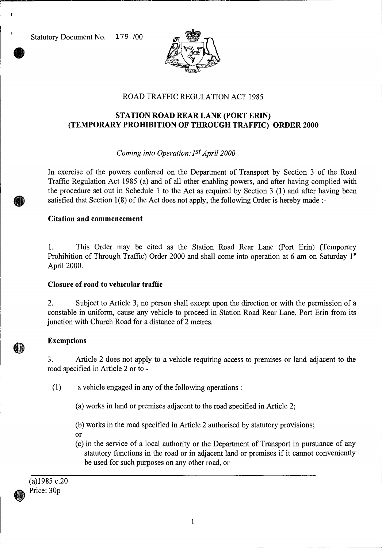Statutory Document No. 179 /00



# ROAD TRAFFIC REGULATION ACT 1985

# **STATION ROAD REAR LANE (PORT ERIN) (TEMPORARY PROHIBITION OF THROUGH TRAFFIC) ORDER 2000**

## *Coming into Operation: 1st April 2000*

In exercise of the powers conferred on the Department of Transport by Section 3 of the Road Traffic Regulation Act 1985 (a) and of all other enabling powers, and after having complied with the procedure set out in Schedule 1 to the Act as required by Section 3 (1) and after having been satisfied that Section 1(8) of the Act does not apply, the following Order is hereby made :-

### **Citation and commencement**

1. This Order may be cited as the Station Road Rear Lane (Port Erin) (Temporary Prohibition of Through Traffic) Order 2000 and shall come into operation at 6 am on Saturday 1st April 2000.

### **Closure of road to vehicular traffic**

2. Subject to Article 3, no person shall except upon the direction or with the permission of a constable in uniform, cause any vehicle to proceed in Station Road Rear Lane, Port Erin from its junction with Church Road for a distance of 2 metres.

### **Exemptions**

3. Article 2 does not apply to a vehicle requiring access to premises or land adjacent to the road specified in Article 2 or to -

(1) a vehicle engaged in any of the following operations :

(a) works in land or premises adjacent to the road specified in Article 2;

(b) works in the road specified in Article 2 authorised by statutory provisions;

- Or
- (c) in the service of a local authority or the Department of Transport in pursuance of any statutory functions in the road or in adjacent land or premises if it cannot conveniently be used for such purposes on any other road, or

(a)1985 c.20 Price: 30p